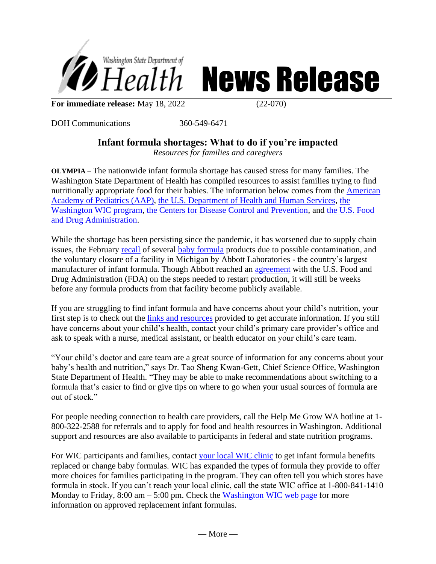



**For immediate release:** May 18, 2022 (22-070)

DOH Communications 360-549-6471

## **Infant formula shortages: What to do if you're impacted**

*Resources for families and caregivers*

**OLYMPIA** – The nationwide infant formula shortage has caused stress for many families. The Washington State Department of Health has compiled resources to assist families trying to find nutritionally appropriate food for their babies. The information below comes from the American Academy of Pediatrics (AAP), the U.S. Department of Health and Human Services, the Washington WIC program, the Centers for Disease Control and Prevention, and the U.S. Food and Drug Administration.

While the shortage has been persisting since the pandemic, it has worsened due to supply chain issues, the February recall of several baby formula products due to possible contamination, and the voluntary closure of a facility in Michigan by Abbott Laboratories - the country's largest manufacturer of infant formula. Though Abbott reached an agreement with the U.S. Food and Drug Administration (FDA) on the steps needed to restart production, it will still be weeks before any formula products from that facility become publicly available.

If you are struggling to find infant formula and have concerns about your child's nutrition, your first step is to check out the links and resources provided to get accurate information. If you still have concerns about your child's health, contact your child's primary care provider's office and ask to speak with a nurse, medical assistant, or health educator on your child's care team.

"Your child's doctor and care team are a great source of information for any concerns about your baby's health and nutrition," says Dr. Tao Sheng Kwan-Gett, Chief Science Office, Washington State Department of Health. "They may be able to make recommendations about switching to a formula that's easier to find or give tips on where to go when your usual sources of formula are out of stock."

For people needing connection to health care providers, call the Help Me Grow WA hotline at 1- 800-322-2588 for referrals and to apply for food and health resources in Washington. Additional support and resources are also available to participants in federal and state nutrition programs.

For WIC participants and families, contact your local WIC clinic to get infant formula benefits replaced or change baby formulas. WIC has expanded the types of formula they provide to offer more choices for families participating in the program. They can often tell you which stores have formula in stock. If you can't reach your local clinic, call the state WIC office at 1-800-841-1410 Monday to Friday,  $8:00 \text{ am} - 5:00 \text{ pm}$ . Check the Washington WIC web page for more information on approved replacement infant formulas.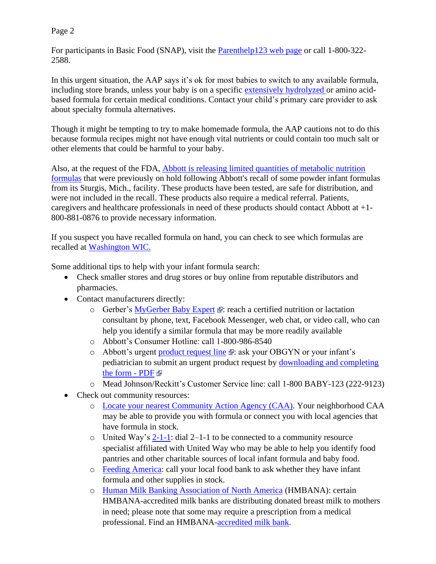## Page 2

For participants in Basic Food (SNAP), visit the **Parenthelp123** web page or call 1-800-322-2588.

In this urgent situation, the AAP says it's ok for most babies to switch to any available formula, including store brands, unless your baby is on a specific [extensively hydrolyzed](https://www.healthychildren.org/English/ages-stages/baby/formula-feeding/Pages/Choosing-an-Infant-Formula.aspx) or amino acidbased formula for certain medical conditions. Contact your child's primary care provider to ask about specialty formula alternatives.

Though it might be tempting to try to make homemade formula, the AAP cautions not to do this because formula recipes might not have enough vital nutrients or could contain too much salt or other elements that could be harmful to your baby.

Also, at the request of the FDA, [Abbott is releasing limited quantities of metabolic nutrition](https://abbott.mediaroom.com/2022-04-29-Abbott-to-Release-Metabolic-Nutrition-Formulas#:~:text=ABBOTT%20PARK%2C%20Ill.%2C%20April,Sturgis%2C%20Mich.%2C%20facility.)  [formulas](https://abbott.mediaroom.com/2022-04-29-Abbott-to-Release-Metabolic-Nutrition-Formulas#:~:text=ABBOTT%20PARK%2C%20Ill.%2C%20April,Sturgis%2C%20Mich.%2C%20facility.) that were previously on hold following Abbott's recall of some powder infant formulas from its Sturgis, Mich., facility. These products have been tested, are safe for distribution, and were not included in the recall. These products also require a medical referral. Patients, caregivers and healthcare professionals in need of these products should contact Abbott at +1- 800-881-0876 to provide necessary information.

If you suspect you have recalled formula on hand, you can check to see which formulas are recalled at [Washington WIC.](https://doh.wa.gov/you-and-your-family/wic/wic-foods/infant-formula)

Some additional tips to help with your infant formula search:

- Check smaller stores and drug stores or buy online from reputable distributors and pharmacies.
- Contact manufacturers directly:
	- o Gerber's [MyGerber Baby Expert](https://www.gerber.com/mygerber-baby-expert)  $\mathbb{R}$ [:](https://www.hhs.gov/disclaimer.html) reach a certified nutrition or lactation consultant by phone, text, Facebook Messenger, web chat, or video call, who can help you identify a similar formula that may be more readily available
	- o Abbott's Consumer Hotline: call 1-800-986-8540
	- o Abbott's urgent [product request line](https://abbottnutrition.com/metabolics)  $\mathbb{F}$ [:](https://www.hhs.gov/disclaimer.html) ask your OBGYN or your infant's pediatrician to submit an urgent product request by [downloading and completing](https://static.abbottnutrition.com/cms-prod/abbottnutrition-2016.com/img/22-PSN-C_Print-Metabolics_Urgent_Product_RequestForm_FA04a.pdf)  [the form](https://static.abbottnutrition.com/cms-prod/abbottnutrition-2016.com/img/22-PSN-C_Print-Metabolics_Urgent_Product_RequestForm_FA04a.pdf) - PDF
	- o Mead Johnson/Reckitt's Customer Service line: call 1-800 BABY-123 (222-9123)
- Check out community resources:
	- o [Locate your nearest Community Action Agency \(CAA\).](https://communityactionpartnership.com/find-a-cap/) Your neighborhood CAA may be able to provide you with formula or connect you with local agencies that have formula in stock.
	- o United Way's [2-1-1:](https://www.211.org/about-us/your-local-211) dial 2–1-1 to be connected to a community resource specialist affiliated with United Way who may be able to help you identify food pantries and other charitable sources of local infant formula and baby food.
	- o [Feeding America:](https://www.feedingamerica.org/find-your-local-foodbank) call your local food bank to ask whether they have infant formula and other supplies in stock.
	- o [Human Milk Banking Association of North America](https://www.hmbana.org/find-a-milk-bank/) (HMBANA): certain HMBANA-accredited milk banks are distributing donated breast milk to mothers in need; please note that some may require a prescription from a medical professional. Find an HMBANA[-accredited milk bank.](https://www.hmbana.org/find-a-milk-bank/)